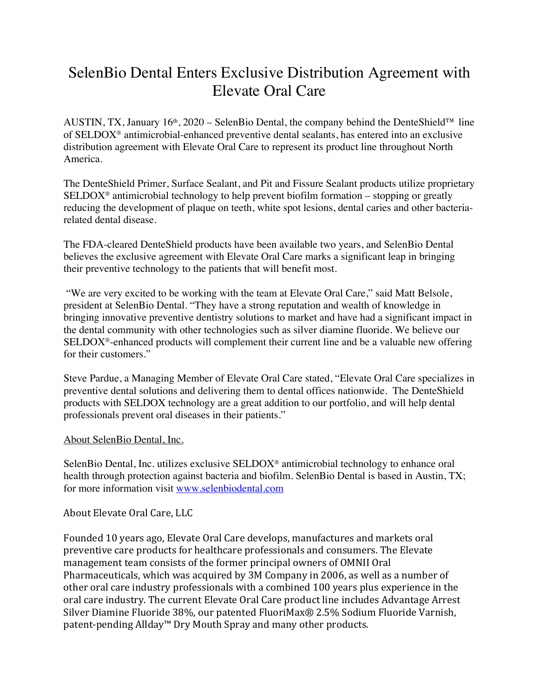## SelenBio Dental Enters Exclusive Distribution Agreement with Elevate Oral Care

AUSTIN, TX, January 16<sup>th</sup>, 2020 – SelenBio Dental, the company behind the DenteShield<sup>™</sup> line of SELDOX® antimicrobial-enhanced preventive dental sealants, has entered into an exclusive distribution agreement with Elevate Oral Care to represent its product line throughout North America.

The DenteShield Primer, Surface Sealant, and Pit and Fissure Sealant products utilize proprietary  $SELDOX^{\circ}$  antimicrobial technology to help prevent biofilm formation – stopping or greatly reducing the development of plaque on teeth, white spot lesions, dental caries and other bacteriarelated dental disease.

The FDA-cleared DenteShield products have been available two years, and SelenBio Dental believes the exclusive agreement with Elevate Oral Care marks a significant leap in bringing their preventive technology to the patients that will benefit most.

"We are very excited to be working with the team at Elevate Oral Care," said Matt Belsole, president at SelenBio Dental. "They have a strong reputation and wealth of knowledge in bringing innovative preventive dentistry solutions to market and have had a significant impact in the dental community with other technologies such as silver diamine fluoride. We believe our SELDOX®-enhanced products will complement their current line and be a valuable new offering for their customers."

Steve Pardue, a Managing Member of Elevate Oral Care stated, "Elevate Oral Care specializes in preventive dental solutions and delivering them to dental offices nationwide. The DenteShield products with SELDOX technology are a great addition to our portfolio, and will help dental professionals prevent oral diseases in their patients."

## About SelenBio Dental, Inc.

SelenBio Dental, Inc. utilizes exclusive SELDOX® antimicrobial technology to enhance oral health through protection against bacteria and biofilm. SelenBio Dental is based in Austin, TX; for more information visit www.selenbiodental.com

## About Elevate Oral Care, LLC

Founded 10 years ago, Elevate Oral Care develops, manufactures and markets oral preventive care products for healthcare professionals and consumers. The Elevate management team consists of the former principal owners of OMNII Oral Pharmaceuticals, which was acquired by 3M Company in 2006, as well as a number of other oral care industry professionals with a combined 100 years plus experience in the oral care industry. The current Elevate Oral Care product line includes Advantage Arrest Silver Diamine Fluoride 38%, our patented FluoriMax® 2.5% Sodium Fluoride Varnish, patent-pending Allday™ Dry Mouth Spray and many other products.